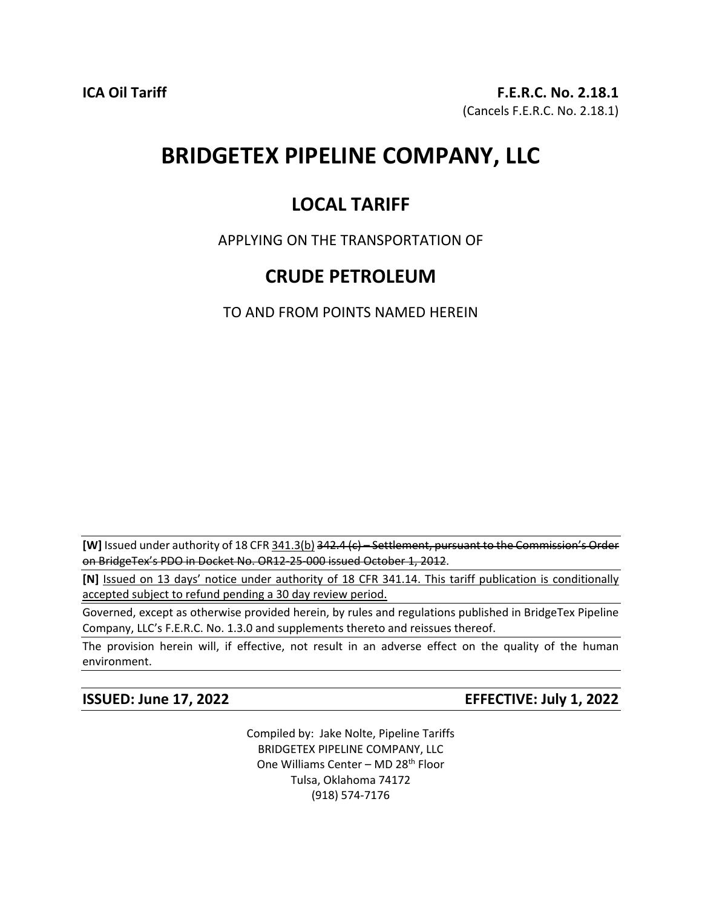# **BRIDGETEX PIPELINE COMPANY, LLC**

# **LOCAL TARIFF**

### APPLYING ON THE TRANSPORTATION OF

## **CRUDE PETROLEUM**

TO AND FROM POINTS NAMED HEREIN

**[W]** Issued under authority of 18 CFR 341.3(b) 342.4 (c) – Settlement, pursuant to the Commission's Order on BridgeTex's PDO in Docket No. OR12-25-000 issued October 1, 2012.

**[N]** Issued on 13 days' notice under authority of 18 CFR 341.14. This tariff publication is conditionally accepted subject to refund pending a 30 day review period.

Governed, except as otherwise provided herein, by rules and regulations published in BridgeTex Pipeline Company, LLC's F.E.R.C. No. 1.3.0 and supplements thereto and reissues thereof.

The provision herein will, if effective, not result in an adverse effect on the quality of the human environment.

**ISSUED: June 17, 2022 EFFECTIVE: July 1, 2022**

Compiled by: Jake Nolte, Pipeline Tariffs BRIDGETEX PIPELINE COMPANY, LLC One Williams Center – MD 28<sup>th</sup> Floor Tulsa, Oklahoma 74172 (918) 574-7176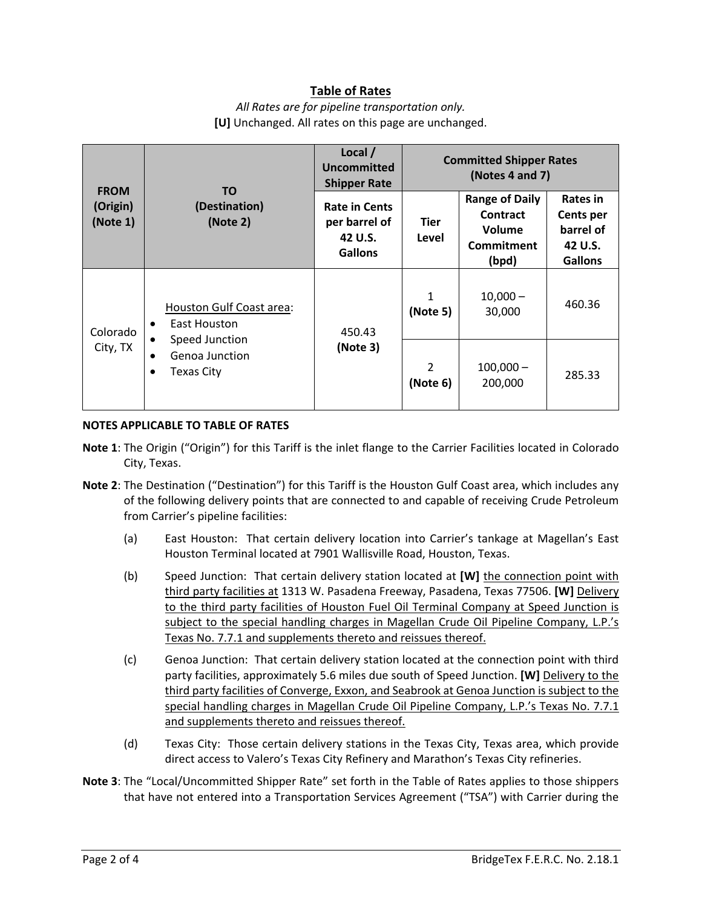### **Table of Rates**

*All Rates are for pipeline transportation only.* **[U]** Unchanged. All rates on this page are unchanged.

| <b>FROM</b><br>(Origin)<br>(Note 1) | <b>TO</b><br>(Destination)<br>(Note 2)                                                                         | Local /<br><b>Uncommitted</b><br><b>Shipper Rate</b>               | <b>Committed Shipper Rates</b><br>(Notes 4 and 7) |                                                                           |                                                                        |
|-------------------------------------|----------------------------------------------------------------------------------------------------------------|--------------------------------------------------------------------|---------------------------------------------------|---------------------------------------------------------------------------|------------------------------------------------------------------------|
|                                     |                                                                                                                | <b>Rate in Cents</b><br>per barrel of<br>42 U.S.<br><b>Gallons</b> | Tier<br>Level                                     | <b>Range of Daily</b><br>Contract<br>Volume<br><b>Commitment</b><br>(bpd) | Rates in<br><b>Cents per</b><br>barrel of<br>42 U.S.<br><b>Gallons</b> |
| Colorado<br>City, TX                | Houston Gulf Coast area:<br>East Houston<br>$\bullet$<br>Speed Junction<br>Genoa Junction<br><b>Texas City</b> | 450.43<br>(Note 3)                                                 | 1<br>(Note 5)                                     | $10,000 -$<br>30,000                                                      | 460.36                                                                 |
|                                     |                                                                                                                |                                                                    | $\mathcal{P}$<br>(Note 6)                         | $100,000 -$<br>200,000                                                    | 285.33                                                                 |

### **NOTES APPLICABLE TO TABLE OF RATES**

- **Note 1**: The Origin ("Origin") for this Tariff is the inlet flange to the Carrier Facilities located in Colorado City, Texas.
- **Note 2**: The Destination ("Destination") for this Tariff is the Houston Gulf Coast area, which includes any of the following delivery points that are connected to and capable of receiving Crude Petroleum from Carrier's pipeline facilities:
	- (a) East Houston: That certain delivery location into Carrier's tankage at Magellan's East Houston Terminal located at 7901 Wallisville Road, Houston, Texas.
	- (b) Speed Junction: That certain delivery station located at **[W]** the connection point with third party facilities at 1313 W. Pasadena Freeway, Pasadena, Texas 77506. **[W]** Delivery to the third party facilities of Houston Fuel Oil Terminal Company at Speed Junction is subject to the special handling charges in Magellan Crude Oil Pipeline Company, L.P.'s Texas No. 7.7.1 and supplements thereto and reissues thereof.
	- (c) Genoa Junction: That certain delivery station located at the connection point with third party facilities, approximately 5.6 miles due south of Speed Junction. **[W]** Delivery to the third party facilities of Converge, Exxon, and Seabrook at Genoa Junction is subject to the special handling charges in Magellan Crude Oil Pipeline Company, L.P.'s Texas No. 7.7.1 and supplements thereto and reissues thereof.
	- (d) Texas City: Those certain delivery stations in the Texas City, Texas area, which provide direct access to Valero's Texas City Refinery and Marathon's Texas City refineries.
- **Note 3**: The "Local/Uncommitted Shipper Rate" set forth in the Table of Rates applies to those shippers that have not entered into a Transportation Services Agreement ("TSA") with Carrier during the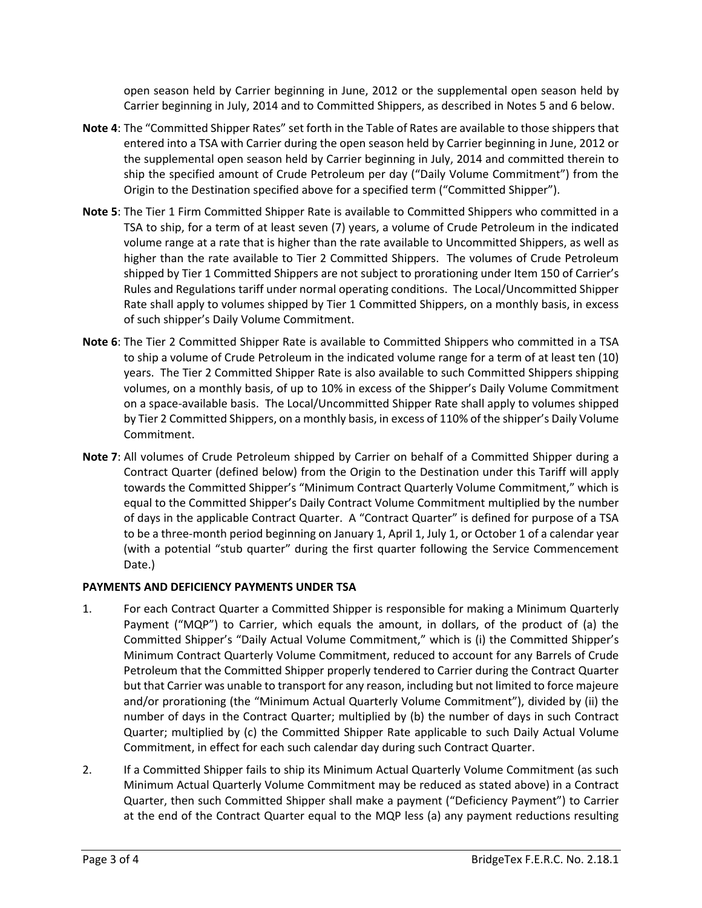open season held by Carrier beginning in June, 2012 or the supplemental open season held by Carrier beginning in July, 2014 and to Committed Shippers, as described in Notes 5 and 6 below.

- **Note 4**: The "Committed Shipper Rates" set forth in the Table of Rates are available to those shippers that entered into a TSA with Carrier during the open season held by Carrier beginning in June, 2012 or the supplemental open season held by Carrier beginning in July, 2014 and committed therein to ship the specified amount of Crude Petroleum per day ("Daily Volume Commitment") from the Origin to the Destination specified above for a specified term ("Committed Shipper").
- **Note 5**: The Tier 1 Firm Committed Shipper Rate is available to Committed Shippers who committed in a TSA to ship, for a term of at least seven (7) years, a volume of Crude Petroleum in the indicated volume range at a rate that is higher than the rate available to Uncommitted Shippers, as well as higher than the rate available to Tier 2 Committed Shippers. The volumes of Crude Petroleum shipped by Tier 1 Committed Shippers are not subject to prorationing under Item 150 of Carrier's Rules and Regulations tariff under normal operating conditions. The Local/Uncommitted Shipper Rate shall apply to volumes shipped by Tier 1 Committed Shippers, on a monthly basis, in excess of such shipper's Daily Volume Commitment.
- **Note 6**: The Tier 2 Committed Shipper Rate is available to Committed Shippers who committed in a TSA to ship a volume of Crude Petroleum in the indicated volume range for a term of at least ten (10) years. The Tier 2 Committed Shipper Rate is also available to such Committed Shippers shipping volumes, on a monthly basis, of up to 10% in excess of the Shipper's Daily Volume Commitment on a space-available basis. The Local/Uncommitted Shipper Rate shall apply to volumes shipped by Tier 2 Committed Shippers, on a monthly basis, in excess of 110% of the shipper's Daily Volume Commitment.
- **Note 7**: All volumes of Crude Petroleum shipped by Carrier on behalf of a Committed Shipper during a Contract Quarter (defined below) from the Origin to the Destination under this Tariff will apply towards the Committed Shipper's "Minimum Contract Quarterly Volume Commitment," which is equal to the Committed Shipper's Daily Contract Volume Commitment multiplied by the number of days in the applicable Contract Quarter. A "Contract Quarter" is defined for purpose of a TSA to be a three-month period beginning on January 1, April 1, July 1, or October 1 of a calendar year (with a potential "stub quarter" during the first quarter following the Service Commencement Date.)

### **PAYMENTS AND DEFICIENCY PAYMENTS UNDER TSA**

- 1. For each Contract Quarter a Committed Shipper is responsible for making a Minimum Quarterly Payment ("MQP") to Carrier, which equals the amount, in dollars, of the product of (a) the Committed Shipper's "Daily Actual Volume Commitment," which is (i) the Committed Shipper's Minimum Contract Quarterly Volume Commitment, reduced to account for any Barrels of Crude Petroleum that the Committed Shipper properly tendered to Carrier during the Contract Quarter but that Carrier was unable to transport for any reason, including but not limited to force majeure and/or prorationing (the "Minimum Actual Quarterly Volume Commitment"), divided by (ii) the number of days in the Contract Quarter; multiplied by (b) the number of days in such Contract Quarter; multiplied by (c) the Committed Shipper Rate applicable to such Daily Actual Volume Commitment, in effect for each such calendar day during such Contract Quarter.
- 2. If a Committed Shipper fails to ship its Minimum Actual Quarterly Volume Commitment (as such Minimum Actual Quarterly Volume Commitment may be reduced as stated above) in a Contract Quarter, then such Committed Shipper shall make a payment ("Deficiency Payment") to Carrier at the end of the Contract Quarter equal to the MQP less (a) any payment reductions resulting